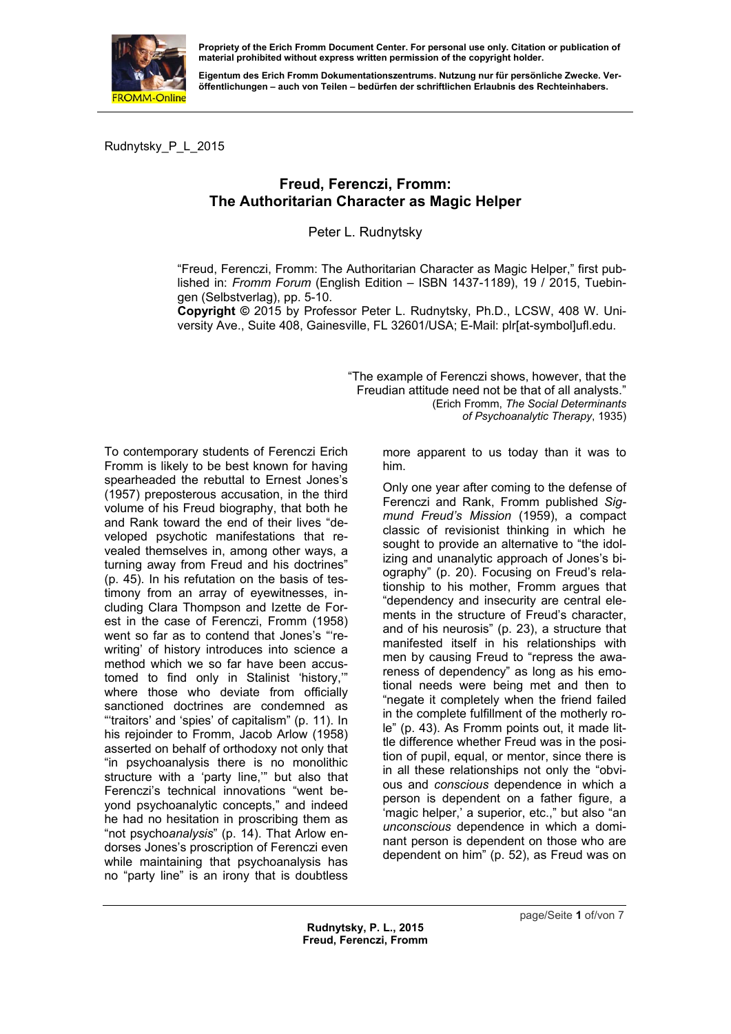

**material prohibited without express written permission of the copyright holder.** 

**Eigentum des Erich Fromm Dokumentationszentrums. Nutzung nur für persönliche Zwecke. Veröffentlichungen – auch von Teilen – bedürfen der schriftlichen Erlaubnis des Rechteinhabers.** 

Rudnytsky\_P\_L\_2015

## **Freud, Ferenczi, Fromm: The Authoritarian Character as Magic Helper**

Peter L. Rudnytsky

"Freud, Ferenczi, Fromm: The Authoritarian Character as Magic Helper," first published in: *Fromm Forum* (English Edition – ISBN 1437-1189), 19 / 2015, Tuebingen (Selbstverlag), pp. 5-10.

**Copyright ©** 2015 by Professor Peter L. Rudnytsky, Ph.D., LCSW, 408 W. University Ave., Suite 408, Gainesville, FL 32601/USA; E-Mail: plr[at-symbol]ufl.edu.

> "The example of Ferenczi shows, however, that the Freudian attitude need not [be that of all analyst](mailto:plr@ufl.edu)s." (Erich Fromm, *The Social Determinants of Psychoanalytic Therapy*, 1935)

To contemporary students of Ferenczi Erich Fromm is likely to be best known for having spearheaded the rebuttal to Ernest Jones's (1957) preposterous accusation, in the third volume of his Freud biography, that both he and Rank toward the end of their lives "developed psychotic manifestations that revealed themselves in, among other ways, a turning away from Freud and his doctrines" (p. 45). In his refutation on the basis of testimony from an array of eyewitnesses, including Clara Thompson and Izette de Forest in the case of Ferenczi, Fromm (1958) went so far as to contend that Jones's "'rewriting' of history introduces into science a method which we so far have been accustomed to find only in Stalinist 'history,'" where those who deviate from officially sanctioned doctrines are condemned as "'traitors' and 'spies' of capitalism" (p. 11). In his rejoinder to Fromm, Jacob Arlow (1958) asserted on behalf of orthodoxy not only that "in psychoanalysis there is no monolithic structure with a 'party line,'" but also that Ferenczi's technical innovations "went beyond psychoanalytic concepts," and indeed he had no hesitation in proscribing them as "not psycho*analysis*" (p. 14). That Arlow endorses Jones's proscription of Ferenczi even while maintaining that psychoanalysis has no "party line" is an irony that is doubtless more apparent to us today than it was to him.

Only one year after coming to the defense of Ferenczi and Rank, Fromm published *Sigmund Freud's Mission* (1959), a compact classic of revisionist thinking in which he sought to provide an alternative to "the idolizing and unanalytic approach of Jones's biography" (p. 20). Focusing on Freud's relationship to his mother, Fromm argues that "dependency and insecurity are central elements in the structure of Freud's character, and of his neurosis" (p. 23), a structure that manifested itself in his relationships with men by causing Freud to "repress the awareness of dependency" as long as his emotional needs were being met and then to "negate it completely when the friend failed in the complete fulfillment of the motherly role" (p. 43). As Fromm points out, it made little difference whether Freud was in the position of pupil, equal, or mentor, since there is in all these relationships not only the "obvious and *conscious* dependence in which a person is dependent on a father figure, a 'magic helper,' a superior, etc.," but also "an *unconscious* dependence in which a dominant person is dependent on those who are dependent on him" (p. 52), as Freud was on

page/Seite **1** of/von 7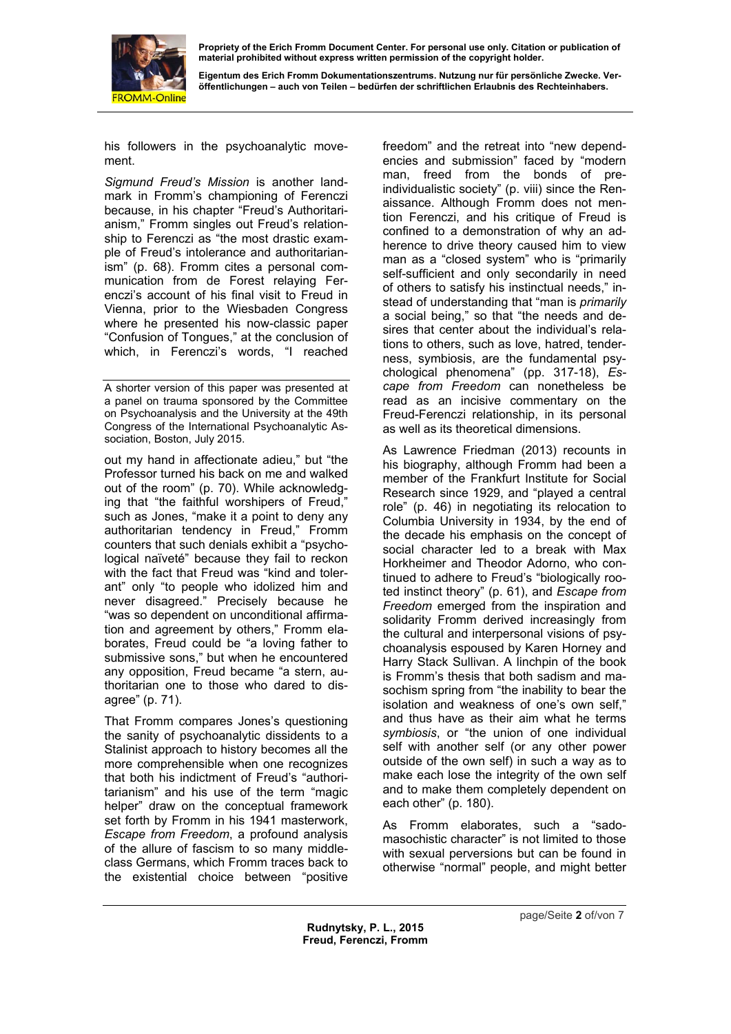

**Eigentum des Erich Fromm Dokumentationszentrums. Nutzung nur für persönliche Zwecke. Veröffentlichungen – auch von Teilen – bedürfen der schriftlichen Erlaubnis des Rechteinhabers.** 

his followers in the psychoanalytic movement.

*Sigmund Freud's Mission* is another landmark in Fromm's championing of Ferenczi because, in his chapter "Freud's Authoritarianism," Fromm singles out Freud's relationship to Ferenczi as "the most drastic example of Freud's intolerance and authoritarianism" (p. 68). Fromm cites a personal communication from de Forest relaying Ferenczi's account of his final visit to Freud in Vienna, prior to the Wiesbaden Congress where he presented his now-classic paper "Confusion of Tongues," at the conclusion of which, in Ferenczi's words, "I reached

A shorter version of this paper was presented at a panel on trauma sponsored by the Committee on Psychoanalysis and the University at the 49th Congress of the International Psychoanalytic Association, Boston, July 2015.

out my hand in affectionate adieu," but "the Professor turned his back on me and walked out of the room" (p. 70). While acknowledging that "the faithful worshipers of Freud," such as Jones, "make it a point to deny any authoritarian tendency in Freud," Fromm counters that such denials exhibit a "psychological naïveté" because they fail to reckon with the fact that Freud was "kind and tolerant" only "to people who idolized him and never disagreed." Precisely because he "was so dependent on unconditional affirmation and agreement by others," Fromm elaborates, Freud could be "a loving father to submissive sons," but when he encountered any opposition, Freud became "a stern, authoritarian one to those who dared to disagree" (p. 71).

That Fromm compares Jones's questioning the sanity of psychoanalytic dissidents to a Stalinist approach to history becomes all the more comprehensible when one recognizes that both his indictment of Freud's "authoritarianism" and his use of the term "magic helper" draw on the conceptual framework set forth by Fromm in his 1941 masterwork, *Escape from Freedom*, a profound analysis of the allure of fascism to so many middleclass Germans, which Fromm traces back to the existential choice between "positive

freedom" and the retreat into "new dependencies and submission" faced by "modern man, freed from the bonds of preindividualistic society" (p. viii) since the Renaissance. Although Fromm does not mention Ferenczi, and his critique of Freud is confined to a demonstration of why an adherence to drive theory caused him to view man as a "closed system" who is "primarily self-sufficient and only secondarily in need of others to satisfy his instinctual needs," instead of understanding that "man is *primarily* a social being," so that "the needs and desires that center about the individual's relations to others, such as love, hatred, tenderness, symbiosis, are the fundamental psychological phenomena" (pp. 317-18), *Escape from Freedom* can nonetheless be read as an incisive commentary on the Freud-Ferenczi relationship, in its personal as well as its theoretical dimensions.

As Lawrence Friedman (2013) recounts in his biography, although Fromm had been a member of the Frankfurt Institute for Social Research since 1929, and "played a central role" (p. 46) in negotiating its relocation to Columbia University in 1934, by the end of the decade his emphasis on the concept of social character led to a break with Max Horkheimer and Theodor Adorno, who continued to adhere to Freud's "biologically rooted instinct theory" (p. 61), and *Escape from Freedom* emerged from the inspiration and solidarity Fromm derived increasingly from the cultural and interpersonal visions of psychoanalysis espoused by Karen Horney and Harry Stack Sullivan. A linchpin of the book is Fromm's thesis that both sadism and masochism spring from "the inability to bear the isolation and weakness of one's own self," and thus have as their aim what he terms *symbiosis*, or "the union of one individual self with another self (or any other power outside of the own self) in such a way as to make each lose the integrity of the own self and to make them completely dependent on each other" (p. 180).

As Fromm elaborates, such a "sadomasochistic character" is not limited to those with sexual perversions but can be found in otherwise "normal" people, and might better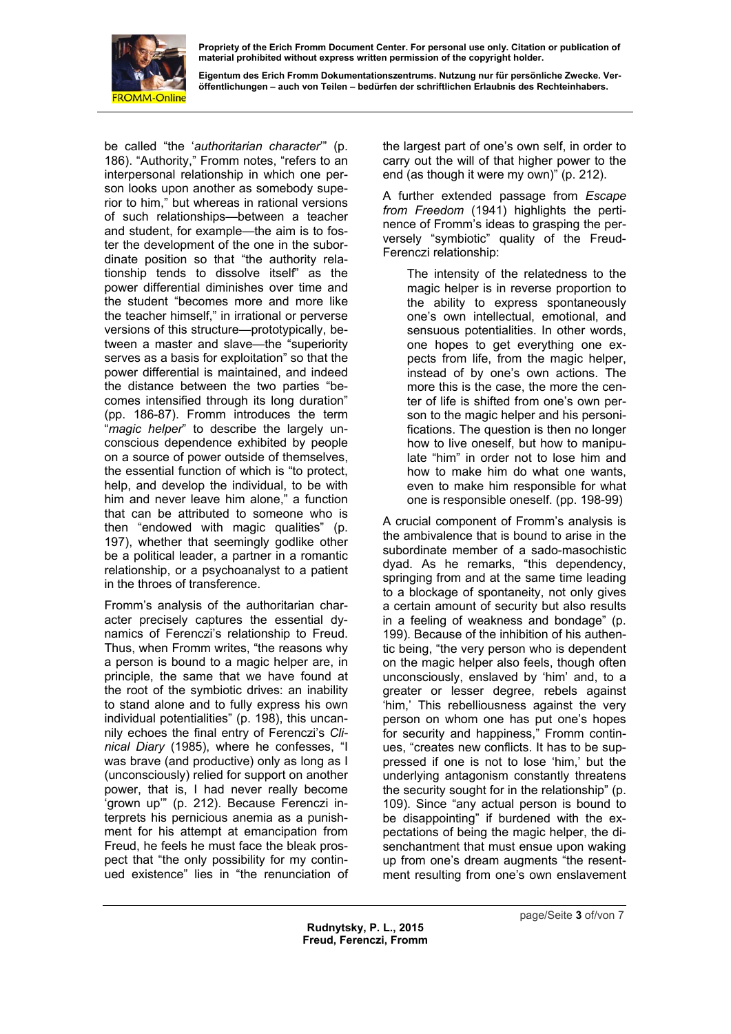

**Eigentum des Erich Fromm Dokumentationszentrums. Nutzung nur für persönliche Zwecke. Veröffentlichungen – auch von Teilen – bedürfen der schriftlichen Erlaubnis des Rechteinhabers.** 

be called "the '*authoritarian character*'" (p. 186). "Authority," Fromm notes, "refers to an interpersonal relationship in which one person looks upon another as somebody superior to him," but whereas in rational versions of such relationships—between a teacher and student, for example—the aim is to foster the development of the one in the subordinate position so that "the authority relationship tends to dissolve itself" as the power differential diminishes over time and the student "becomes more and more like the teacher himself," in irrational or perverse versions of this structure—prototypically, between a master and slave—the "superiority serves as a basis for exploitation" so that the power differential is maintained, and indeed the distance between the two parties "becomes intensified through its long duration" (pp. 186-87). Fromm introduces the term "*magic helper*" to describe the largely unconscious dependence exhibited by people on a source of power outside of themselves, the essential function of which is "to protect, help, and develop the individual, to be with him and never leave him alone," a function that can be attributed to someone who is then "endowed with magic qualities" (p. 197), whether that seemingly godlike other be a political leader, a partner in a romantic relationship, or a psychoanalyst to a patient in the throes of transference.

Fromm's analysis of the authoritarian character precisely captures the essential dynamics of Ferenczi's relationship to Freud. Thus, when Fromm writes, "the reasons why a person is bound to a magic helper are, in principle, the same that we have found at the root of the symbiotic drives: an inability to stand alone and to fully express his own individual potentialities" (p. 198), this uncannily echoes the final entry of Ferenczi's *Clinical Diary* (1985), where he confesses, "I was brave (and productive) only as long as I (unconsciously) relied for support on another power, that is, I had never really become 'grown up'" (p. 212). Because Ferenczi interprets his pernicious anemia as a punishment for his attempt at emancipation from Freud, he feels he must face the bleak prospect that "the only possibility for my continued existence" lies in "the renunciation of the largest part of one's own self, in order to carry out the will of that higher power to the end (as though it were my own)" (p. 212).

A further extended passage from *Escape from Freedom* (1941) highlights the pertinence of Fromm's ideas to grasping the perversely "symbiotic" quality of the Freud-Ferenczi relationship:

The intensity of the relatedness to the magic helper is in reverse proportion to the ability to express spontaneously one's own intellectual, emotional, and sensuous potentialities. In other words, one hopes to get everything one expects from life, from the magic helper, instead of by one's own actions. The more this is the case, the more the center of life is shifted from one's own person to the magic helper and his personifications. The question is then no longer how to live oneself, but how to manipulate "him" in order not to lose him and how to make him do what one wants, even to make him responsible for what one is responsible oneself. (pp. 198-99)

A crucial component of Fromm's analysis is the ambivalence that is bound to arise in the subordinate member of a sado-masochistic dyad. As he remarks, "this dependency, springing from and at the same time leading to a blockage of spontaneity, not only gives a certain amount of security but also results in a feeling of weakness and bondage" (p. 199). Because of the inhibition of his authentic being, "the very person who is dependent on the magic helper also feels, though often unconsciously, enslaved by 'him' and, to a greater or lesser degree, rebels against 'him,' This rebelliousness against the very person on whom one has put one's hopes for security and happiness," Fromm continues, "creates new conflicts. It has to be suppressed if one is not to lose 'him,' but the underlying antagonism constantly threatens the security sought for in the relationship" (p. 109). Since "any actual person is bound to be disappointing" if burdened with the expectations of being the magic helper, the disenchantment that must ensue upon waking up from one's dream augments "the resentment resulting from one's own enslavement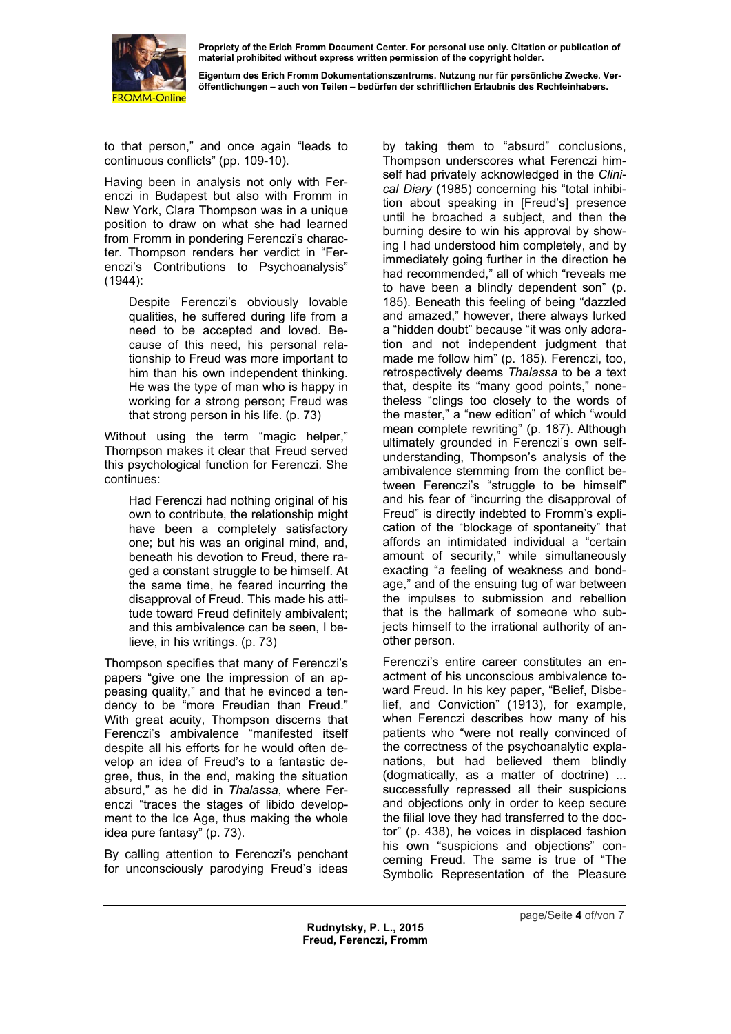

**Eigentum des Erich Fromm Dokumentationszentrums. Nutzung nur für persönliche Zwecke. Veröffentlichungen – auch von Teilen – bedürfen der schriftlichen Erlaubnis des Rechteinhabers.** 

to that person," and once again "leads to continuous conflicts" (pp. 109-10).

Having been in analysis not only with Ferenczi in Budapest but also with Fromm in New York, Clara Thompson was in a unique position to draw on what she had learned from Fromm in pondering Ferenczi's character. Thompson renders her verdict in "Ferenczi's Contributions to Psychoanalysis" (1944):

Despite Ferenczi's obviously lovable qualities, he suffered during life from a need to be accepted and loved. Because of this need, his personal relationship to Freud was more important to him than his own independent thinking. He was the type of man who is happy in working for a strong person; Freud was that strong person in his life. (p. 73)

Without using the term "magic helper," Thompson makes it clear that Freud served this psychological function for Ferenczi. She continues:

Had Ferenczi had nothing original of his own to contribute, the relationship might have been a completely satisfactory one; but his was an original mind, and, beneath his devotion to Freud, there raged a constant struggle to be himself. At the same time, he feared incurring the disapproval of Freud. This made his attitude toward Freud definitely ambivalent; and this ambivalence can be seen, I believe, in his writings. (p. 73)

Thompson specifies that many of Ferenczi's papers "give one the impression of an appeasing quality," and that he evinced a tendency to be "more Freudian than Freud." With great acuity. Thompson discerns that Ferenczi's ambivalence "manifested itself despite all his efforts for he would often develop an idea of Freud's to a fantastic degree, thus, in the end, making the situation absurd," as he did in *Thalassa*, where Ferenczi "traces the stages of libido development to the Ice Age, thus making the whole idea pure fantasy" (p. 73).

By calling attention to Ferenczi's penchant for unconsciously parodying Freud's ideas

by taking them to "absurd" conclusions, Thompson underscores what Ferenczi himself had privately acknowledged in the *Clinical Diary* (1985) concerning his "total inhibition about speaking in [Freud's] presence until he broached a subject, and then the burning desire to win his approval by showing I had understood him completely, and by immediately going further in the direction he had recommended," all of which "reveals me to have been a blindly dependent son" (p. 185). Beneath this feeling of being "dazzled and amazed," however, there always lurked a "hidden doubt" because "it was only adoration and not independent judgment that made me follow him" (p. 185). Ferenczi, too, retrospectively deems *Thalassa* to be a text that, despite its "many good points," nonetheless "clings too closely to the words of the master," a "new edition" of which "would mean complete rewriting" (p. 187). Although ultimately grounded in Ferenczi's own selfunderstanding, Thompson's analysis of the ambivalence stemming from the conflict between Ferenczi's "struggle to be himself" and his fear of "incurring the disapproval of Freud" is directly indebted to Fromm's explication of the "blockage of spontaneity" that affords an intimidated individual a "certain amount of security," while simultaneously exacting "a feeling of weakness and bondage," and of the ensuing tug of war between the impulses to submission and rebellion that is the hallmark of someone who subjects himself to the irrational authority of another person.

Ferenczi's entire career constitutes an enactment of his unconscious ambivalence toward Freud. In his key paper, "Belief, Disbelief, and Conviction" (1913), for example, when Ferenczi describes how many of his patients who "were not really convinced of the correctness of the psychoanalytic explanations, but had believed them blindly (dogmatically, as a matter of doctrine) ... successfully repressed all their suspicions and objections only in order to keep secure the filial love they had transferred to the doctor" (p. 438), he voices in displaced fashion his own "suspicions and objections" concerning Freud. The same is true of "The Symbolic Representation of the Pleasure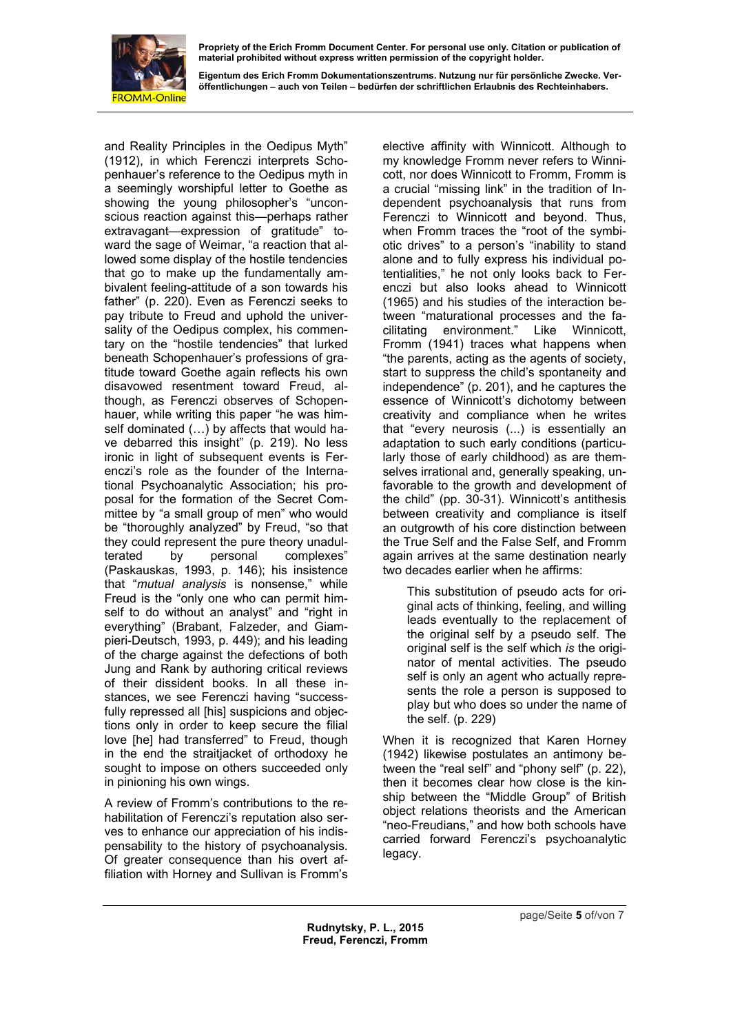

**Eigentum des Erich Fromm Dokumentationszentrums. Nutzung nur für persönliche Zwecke. Veröffentlichungen – auch von Teilen – bedürfen der schriftlichen Erlaubnis des Rechteinhabers.** 

and Reality Principles in the Oedipus Myth" (1912), in which Ferenczi interprets Schopenhauer's reference to the Oedipus myth in a seemingly worshipful letter to Goethe as showing the young philosopher's "unconscious reaction against this—perhaps rather extravagant—expression of gratitude" toward the sage of Weimar, "a reaction that allowed some display of the hostile tendencies that go to make up the fundamentally ambivalent feeling-attitude of a son towards his father" (p. 220). Even as Ferenczi seeks to pay tribute to Freud and uphold the universality of the Oedipus complex, his commentary on the "hostile tendencies" that lurked beneath Schopenhauer's professions of gratitude toward Goethe again reflects his own disavowed resentment toward Freud, although, as Ferenczi observes of Schopenhauer, while writing this paper "he was himself dominated  $(...)$  by affects that would have debarred this insight" (p. 219). No less ironic in light of subsequent events is Ferenczi's role as the founder of the International Psychoanalytic Association; his proposal for the formation of the Secret Committee by "a small group of men" who would be "thoroughly analyzed" by Freud, "so that they could represent the pure theory unadulterated by personal complexes" (Paskauskas, 1993, p. 146); his insistence that "*mutual analysis* is nonsense," while Freud is the "only one who can permit himself to do without an analyst" and "right in everything" (Brabant, Falzeder, and Giampieri-Deutsch, 1993, p. 449); and his leading of the charge against the defections of both Jung and Rank by authoring critical reviews of their dissident books. In all these instances, we see Ferenczi having "successfully repressed all [his] suspicions and objections only in order to keep secure the filial love [he] had transferred" to Freud, though in the end the straitjacket of orthodoxy he sought to impose on others succeeded only in pinioning his own wings.

A review of Fromm's contributions to the rehabilitation of Ferenczi's reputation also serves to enhance our appreciation of his indispensability to the history of psychoanalysis. Of greater consequence than his overt affiliation with Horney and Sullivan is Fromm's elective affinity with Winnicott. Although to my knowledge Fromm never refers to Winnicott, nor does Winnicott to Fromm, Fromm is a crucial "missing link" in the tradition of Independent psychoanalysis that runs from Ferenczi to Winnicott and beyond. Thus, when Fromm traces the "root of the symbiotic drives" to a person's "inability to stand alone and to fully express his individual potentialities," he not only looks back to Ferenczi but also looks ahead to Winnicott (1965) and his studies of the interaction between "maturational processes and the facilitating environment." Like Winnicott, Fromm (1941) traces what happens when "the parents, acting as the agents of society, start to suppress the child's spontaneity and independence" (p. 201), and he captures the essence of Winnicott's dichotomy between creativity and compliance when he writes that "every neurosis (...) is essentially an adaptation to such early conditions (particularly those of early childhood) as are themselves irrational and, generally speaking, unfavorable to the growth and development of the child" (pp. 30-31). Winnicott's antithesis between creativity and compliance is itself an outgrowth of his core distinction between the True Self and the False Self, and Fromm again arrives at the same destination nearly two decades earlier when he affirms:

This substitution of pseudo acts for original acts of thinking, feeling, and willing leads eventually to the replacement of the original self by a pseudo self. The original self is the self which *is* the originator of mental activities. The pseudo self is only an agent who actually represents the role a person is supposed to play but who does so under the name of the self. (p. 229)

When it is recognized that Karen Horney (1942) likewise postulates an antimony between the "real self" and "phony self" (p. 22), then it becomes clear how close is the kinship between the "Middle Group" of British object relations theorists and the American "neo-Freudians," and how both schools have carried forward Ferenczi's psychoanalytic legacy.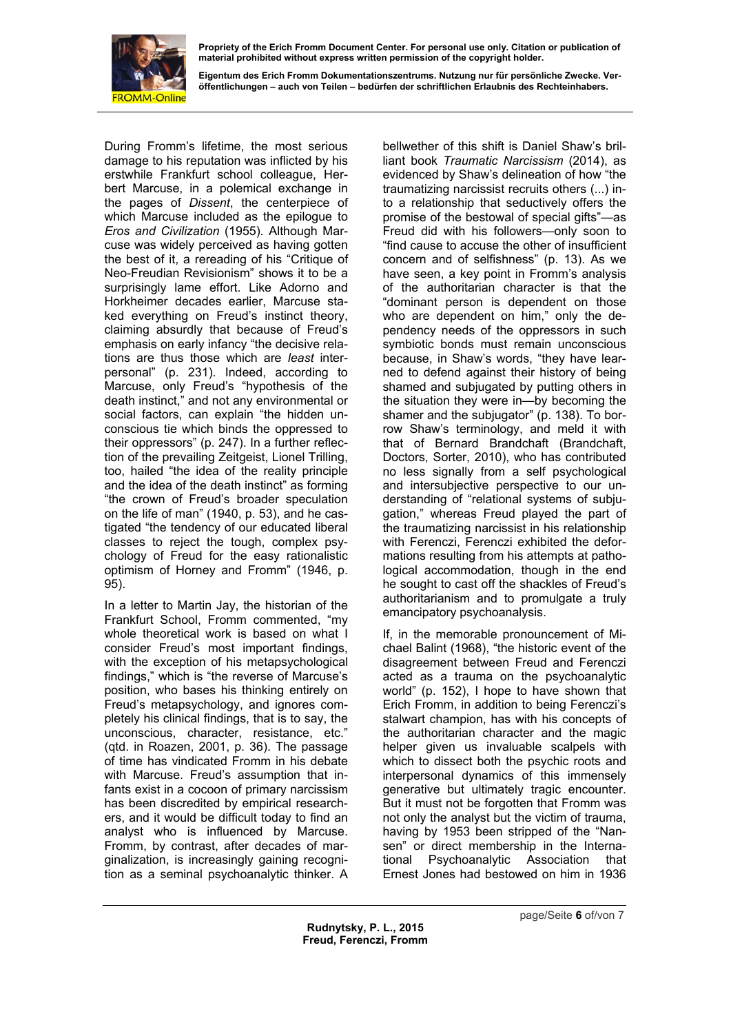

**Eigentum des Erich Fromm Dokumentationszentrums. Nutzung nur für persönliche Zwecke. Veröffentlichungen – auch von Teilen – bedürfen der schriftlichen Erlaubnis des Rechteinhabers.** 

During Fromm's lifetime, the most serious damage to his reputation was inflicted by his erstwhile Frankfurt school colleague, Herbert Marcuse, in a polemical exchange in the pages of *Dissent*, the centerpiece of which Marcuse included as the epiloque to *Eros and Civilization* (1955). Although Marcuse was widely perceived as having gotten the best of it, a rereading of his "Critique of Neo-Freudian Revisionism" shows it to be a surprisingly lame effort. Like Adorno and Horkheimer decades earlier, Marcuse staked everything on Freud's instinct theory, claiming absurdly that because of Freud's emphasis on early infancy "the decisive relations are thus those which are *least* interpersonal" (p. 231). Indeed, according to Marcuse, only Freud's "hypothesis of the death instinct," and not any environmental or social factors, can explain "the hidden unconscious tie which binds the oppressed to their oppressors" (p. 247). In a further reflection of the prevailing Zeitgeist, Lionel Trilling, too, hailed "the idea of the reality principle and the idea of the death instinct" as forming "the crown of Freud's broader speculation on the life of man" (1940, p. 53), and he castigated "the tendency of our educated liberal classes to reject the tough, complex psychology of Freud for the easy rationalistic optimism of Horney and Fromm" (1946, p. 95).

In a letter to Martin Jay, the historian of the Frankfurt School, Fromm commented, "my whole theoretical work is based on what I consider Freud's most important findings, with the exception of his metapsychological findings," which is "the reverse of Marcuse's position, who bases his thinking entirely on Freud's metapsychology, and ignores completely his clinical findings, that is to say, the unconscious, character, resistance, etc." (qtd. in Roazen, 2001, p. 36). The passage of time has vindicated Fromm in his debate with Marcuse. Freud's assumption that infants exist in a cocoon of primary narcissism has been discredited by empirical researchers, and it would be difficult today to find an analyst who is influenced by Marcuse. Fromm, by contrast, after decades of marginalization, is increasingly gaining recognition as a seminal psychoanalytic thinker. A bellwether of this shift is Daniel Shaw's brilliant book *Traumatic Narcissism* (2014), as evidenced by Shaw's delineation of how "the traumatizing narcissist recruits others (...) into a relationship that seductively offers the promise of the bestowal of special gifts"—as Freud did with his followers—only soon to "find cause to accuse the other of insufficient concern and of selfishness" (p. 13). As we have seen, a key point in Fromm's analysis of the authoritarian character is that the "dominant person is dependent on those who are dependent on him," only the dependency needs of the oppressors in such symbiotic bonds must remain unconscious because, in Shaw's words, "they have learned to defend against their history of being shamed and subjugated by putting others in the situation they were in—by becoming the shamer and the subjugator" (p. 138). To borrow Shaw's terminology, and meld it with that of Bernard Brandchaft (Brandchaft, Doctors, Sorter, 2010), who has contributed no less signally from a self psychological and intersubjective perspective to our understanding of "relational systems of subjugation," whereas Freud played the part of the traumatizing narcissist in his relationship with Ferenczi, Ferenczi exhibited the deformations resulting from his attempts at pathological accommodation, though in the end he sought to cast off the shackles of Freud's authoritarianism and to promulgate a truly emancipatory psychoanalysis.

If, in the memorable pronouncement of Michael Balint (1968), "the historic event of the disagreement between Freud and Ferenczi acted as a trauma on the psychoanalytic world" (p. 152), I hope to have shown that Erich Fromm, in addition to being Ferenczi's stalwart champion, has with his concepts of the authoritarian character and the magic helper given us invaluable scalpels with which to dissect both the psychic roots and interpersonal dynamics of this immensely generative but ultimately tragic encounter. But it must not be forgotten that Fromm was not only the analyst but the victim of trauma, having by 1953 been stripped of the "Nansen" or direct membership in the International Psychoanalytic Association that Ernest Jones had bestowed on him in 1936